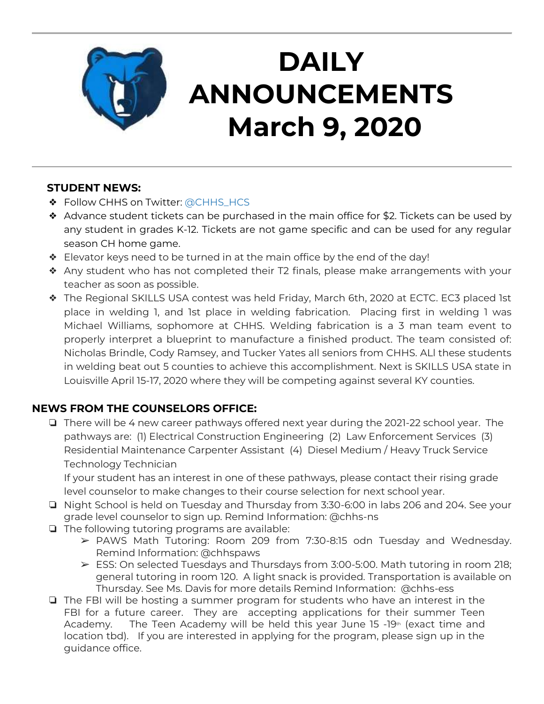

# **DAILY ANNOUNCEMENTS March 9, 2020**

### **STUDENT NEWS:**

- ❖ Follow CHHS on Twitter: [@CHHS\\_HCS](https://twitter.com/CHHS_HCS)
- ❖ Advance student tickets can be purchased in the main office for \$2. Tickets can be used by any student in grades K-12. Tickets are not game specific and can be used for any regular season CH home game.
- ❖ Elevator keys need to be turned in at the main office by the end of the day!
- ❖ Any student who has not completed their T2 finals, please make arrangements with your teacher as soon as possible.
- ❖ The Regional SKILLS USA contest was held Friday, March 6th, 2020 at ECTC. EC3 placed 1st place in welding 1, and 1st place in welding fabrication. Placing first in welding 1 was Michael Williams, sophomore at CHHS. Welding fabrication is a 3 man team event to properly interpret a blueprint to manufacture a finished product. The team consisted of: Nicholas Brindle, Cody Ramsey, and Tucker Yates all seniors from CHHS. ALl these students in welding beat out 5 counties to achieve this accomplishment. Next is SKILLS USA state in Louisville April 15-17, 2020 where they will be competing against several KY counties.

### **NEWS FROM THE COUNSELORS OFFICE:**

❏ There will be 4 new career pathways offered next year during the 2021-22 school year. The pathways are: (1) Electrical Construction Engineering (2) Law Enforcement Services (3) Residential Maintenance Carpenter Assistant (4) Diesel Medium / Heavy Truck Service Technology Technician

If your student has an interest in one of these pathways, please contact their rising grade level counselor to make changes to their course selection for next school year.

- ❏ Night School is held on Tuesday and Thursday from 3:30-6:00 in labs 206 and 204. See your grade level counselor to sign up. Remind Information: @chhs-ns
- ❏ The following tutoring programs are available:
	- ➢ PAWS Math Tutoring: Room 209 from 7:30-8:15 odn Tuesday and Wednesday. Remind Information: @chhspaws
	- $\triangleright$  ESS: On selected Tuesdays and Thursdays from 3:00-5:00. Math tutoring in room 218; general tutoring in room 120. A light snack is provided. Transportation is available on Thursday. See Ms. Davis for more details Remind Information: @chhs-ess
- ❏ The FBI will be hosting a summer program for students who have an interest in the FBI for a future career. They are accepting applications for their summer Teen Academy. The Teen Academy will be held this year June 15  $-19<sup>th</sup>$  (exact time and location tbd). If you are interested in applying for the program, please sign up in the guidance office.